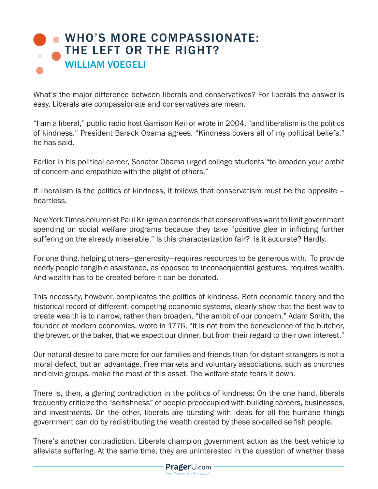## [WHO'S MORE COMPASSIONATE:](https://www.prageru.com/courses/political-science/whos-more-compassionate-left-or-right)  THE LEFT OR THE RIGHT? WILLIAM VOEGELI

What's the major difference between liberals and conservatives? For liberals the answer is easy. Liberals are compassionate and conservatives are mean.

"I am a liberal," public radio host Garrison Keillor wrote in 2004, "and liberalism is the politics of kindness." President Barack Obama agrees. "Kindness covers all of my political beliefs," he has said.

Earlier in his political career, Senator Obama urged college students "to broaden your ambit of concern and empathize with the plight of others."

If liberalism is the politics of kindness, it follows that conservatism must be the opposite – heartless.

New York Times columnist Paul Krugman contends that conservatives want to limit government spending on social welfare programs because they take "positive glee in inflicting further suffering on the already miserable." Is this characterization fair? Is it accurate? Hardly.

For one thing, helping others—generosity—requires resources to be generous with. To provide needy people tangible assistance, as opposed to inconsequential gestures, requires wealth. And wealth has to be created before it can be donated.

This necessity, however, complicates the politics of kindness. Both economic theory and the historical record of different, competing economic systems, clearly show that the best way to create wealth is to narrow, rather than broaden, "the ambit of our concern." Adam Smith, the founder of modern economics, wrote in 1776, "It is not from the benevolence of the butcher, the brewer, or the baker, that we expect our dinner, but from their regard to their own interest."

Our natural desire to care more for our families and friends than for distant strangers is not a moral defect, but an advantage. Free markets and voluntary associations, such as churches and civic groups, make the most of this asset. The welfare state tears it down.

There is, then, a glaring contradiction in the politics of kindness: On the one hand, liberals frequently criticize the "selfishness" of people preoccupied with building careers, businesses, and investments. On the other, liberals are bursting with ideas for all the humane things government can do by redistributing the wealth created by these so-called selfish people.

There's another contradiction. Liberals champion government action as the best vehicle to alleviate suffering. At the same time, they are uninterested in the question of whether these